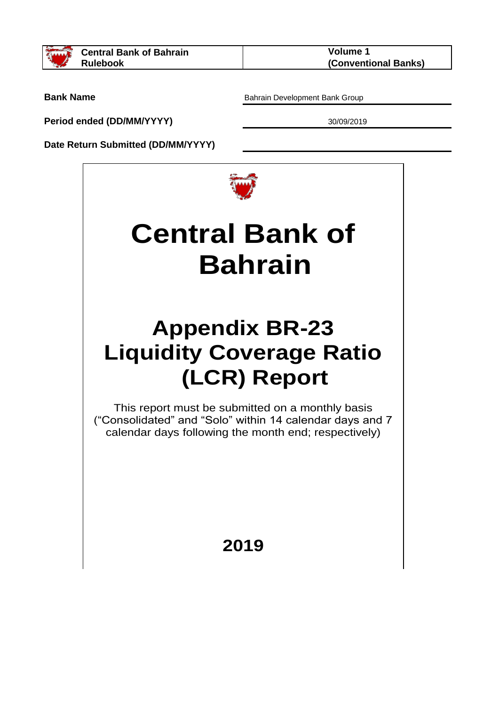

**Bank Name**

**Period ended (DD/MM/YYYY)**

Bahrain Development Bank Group

30/09/2019

**Date Return Submitted (DD/MM/YYYY)**



# **Central Bank of Bahrain**

## **Appendix BR-23 Liquidity Coverage Ratio (LCR) Report**

This report must be submitted on a monthly basis ("Consolidated" and "Solo" within 14 calendar days and 7 calendar days following the month end; respectively)

### **2019**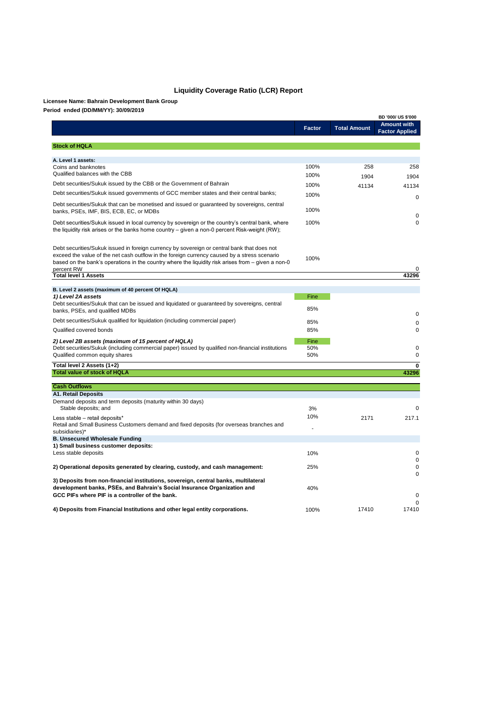|                                                                                                                                                                                                                                                                                                                   |               |                     | <b>BD '000/ US \$'000</b>                   |
|-------------------------------------------------------------------------------------------------------------------------------------------------------------------------------------------------------------------------------------------------------------------------------------------------------------------|---------------|---------------------|---------------------------------------------|
|                                                                                                                                                                                                                                                                                                                   | <b>Factor</b> | <b>Total Amount</b> | <b>Amount with</b><br><b>Factor Applied</b> |
| <b>Stock of HQLA</b>                                                                                                                                                                                                                                                                                              |               |                     |                                             |
| A. Level 1 assets:                                                                                                                                                                                                                                                                                                |               |                     |                                             |
| Coins and banknotes                                                                                                                                                                                                                                                                                               | 100%          | 258                 | 258                                         |
| Qualified balances with the CBB                                                                                                                                                                                                                                                                                   | 100%          | 1904                | 1904                                        |
| Debt securities/Sukuk issued by the CBB or the Government of Bahrain                                                                                                                                                                                                                                              | 100%          | 41134               | 41134                                       |
| Debt securities/Sukuk issued governments of GCC member states and their central banks;                                                                                                                                                                                                                            | 100%          |                     | 0                                           |
| Debt securities/Sukuk that can be monetised and issued or guaranteed by sovereigns, central<br>banks, PSEs, IMF, BIS, ECB, EC, or MDBs                                                                                                                                                                            | 100%          |                     |                                             |
| Debt securities/Sukuk issued in local currency by sovereign or the country's central bank, where<br>the liquidity risk arises or the banks home country $-$ given a non-0 percent Risk-weight (RW);                                                                                                               | 100%          |                     | 0<br>$\mathbf 0$                            |
| Debt securities/Sukuk issued in foreign currency by sovereign or central bank that does not<br>exceed the value of the net cash outflow in the foreign currency caused by a stress scenario<br>based on the bank's operations in the country where the liquidity risk arises from $-$ given a non-0<br>percent RW | 100%          |                     |                                             |
| <b>Total level 1 Assets</b>                                                                                                                                                                                                                                                                                       |               |                     | 43296                                       |
| B. Level 2 assets (maximum of 40 percent Of HQLA)                                                                                                                                                                                                                                                                 |               |                     |                                             |
| 1) Level 2A assets                                                                                                                                                                                                                                                                                                | Fine          |                     |                                             |
| Debt securities/Sukuk that can be issued and liquidated or guaranteed by sovereigns, central<br>banks, PSEs, and qualified MDBs                                                                                                                                                                                   | 85%           |                     | 0                                           |
| Debt securities/Sukuk qualified for liquidation (including commercial paper)                                                                                                                                                                                                                                      | 85%           |                     | 0                                           |
| Qualified covered bonds                                                                                                                                                                                                                                                                                           | 85%           |                     | 0                                           |
| 2) Level 2B assets (maximum of 15 percent of HQLA)                                                                                                                                                                                                                                                                | Fine          |                     |                                             |
| Debt securities/Sukuk (including commercial paper) issued by qualified non-financial institutions<br>Qualified common equity shares                                                                                                                                                                               | 50%<br>50%    |                     | 0<br>0                                      |
| Total level 2 Assets (1+2)                                                                                                                                                                                                                                                                                        |               |                     | 0                                           |
| <b>Total value of stock of HQLA</b>                                                                                                                                                                                                                                                                               |               |                     | 43296                                       |
| <b>Cash Outflows</b>                                                                                                                                                                                                                                                                                              |               |                     |                                             |
| <b>A1. Retail Deposits</b>                                                                                                                                                                                                                                                                                        |               |                     |                                             |
| Demand deposits and term deposits (maturity within 30 days)<br>Stable deposits; and                                                                                                                                                                                                                               | 3%            |                     | 0                                           |
| Less stable - retail deposits*<br>Retail and Small Business Customers demand and fixed deposits (for overseas branches and<br>subsidiaries)*<br><b>B. Unsecured Wholesale Funding</b>                                                                                                                             | 10%           | 2171                | 217.1                                       |

#### **1) Small business customer deposits:**

| Less stable deposits                                                                | 10%  |       |          |
|-------------------------------------------------------------------------------------|------|-------|----------|
| 2) Operational deposits generated by clearing, custody, and cash management:        | 25%  |       | 0        |
| 3) Deposits from non-financial institutions, sovereign, central banks, multilateral |      |       | $\Omega$ |
| development banks, PSEs, and Bahrain's Social Insurance Organization and            | 40%  |       |          |
| GCC PIFs where PIF is a controller of the bank.                                     |      |       | $\Omega$ |
| 4) Deposits from Financial Institutions and other legal entity corporations.        | 100% | 17410 | 17410    |

**Licensee Name: Bahrain Development Bank Group**

#### **Liquidity Coverage Ratio (LCR) Report**

#### **Period ended (DD/MM/YY): 30/09/2019**